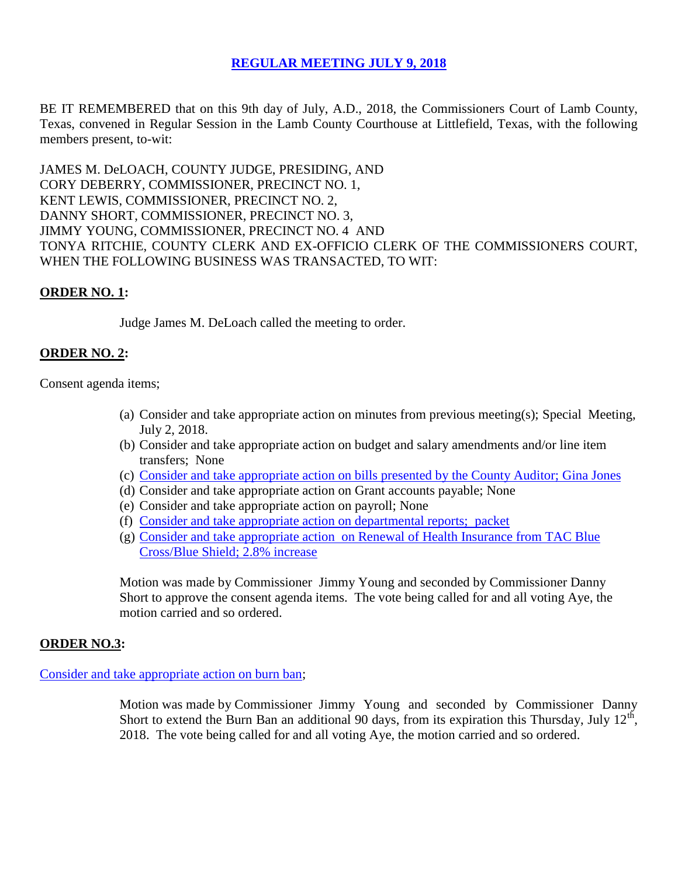# **REGULAR [MEETING JULY 9, 2018](Links%202018-07-09-Regular/01%20AGENDA%20REGULAR%20MEETING%20JULY%209,%202018.pdf)**

BE IT REMEMBERED that on this 9th day of July, A.D., 2018, the Commissioners Court of Lamb County, Texas, convened in Regular Session in the Lamb County Courthouse at Littlefield, Texas, with the following members present, to-wit:

JAMES M. DeLOACH, COUNTY JUDGE, PRESIDING, AND CORY DEBERRY, COMMISSIONER, PRECINCT NO. 1, KENT LEWIS, COMMISSIONER, PRECINCT NO. 2, DANNY SHORT, COMMISSIONER, PRECINCT NO. 3, JIMMY YOUNG, COMMISSIONER, PRECINCT NO. 4 AND TONYA RITCHIE, COUNTY CLERK AND EX-OFFICIO CLERK OF THE COMMISSIONERS COURT, WHEN THE FOLLOWING BUSINESS WAS TRANSACTED, TO WIT:

### **ORDER NO. 1:**

Judge James M. DeLoach called the meeting to order.

### **ORDER NO. 2:**

Consent agenda items;

- (a) Consider and take appropriate action on minutes from previous meeting(s); Special Meeting, July 2, 2018.
- (b) Consider and take appropriate action on budget and salary amendments and/or line item transfers; None
- (c) [Consider and take appropriate action on bills presented by the County Auditor;](Links%202018-07-09-Regular/03%20ACCOUNTS%20PAYABLE%20REGULAR%20MEETING%20JULY%209,%202018.pdf) Gina Jones
- (d) Consider and take appropriate action on Grant accounts payable; None
- (e) Consider and take appropriate action on payroll; None
- (f) [Consider and take appropriate action on departmental reports; packet](Links%202018-07-09-Regular/04%20DEPARTMENTAL%20REPORTS%20REGULAR%20MEETING%20JULY%209,%202018.pdf)
- (g) Consider and [take appropriate action on Renewal of Health Insurance from TAC Blue](Links%202018-07-09-Regular/05%20RENEWAL%20HEALTH%20INSURANCE%20FROM%20TAC,%20BLUE%20CORSS%20BLUE%20SHIELD%20REGULAR%20MEETING%20JULY%209,%202018.pdf)  [Cross/Blue Shield; 2.8% increase](Links%202018-07-09-Regular/05%20RENEWAL%20HEALTH%20INSURANCE%20FROM%20TAC,%20BLUE%20CORSS%20BLUE%20SHIELD%20REGULAR%20MEETING%20JULY%209,%202018.pdf)

Motion was made by Commissioner Jimmy Young and seconded by Commissioner Danny Short to approve the consent agenda items. The vote being called for and all voting Aye, the motion carried and so ordered.

### **ORDER NO.3:**

Consider [and take appropriate action on burn ban;](Links%202018-07-09-Regular/06%20BURN%20BAN%20REGULAR%20MEETING%20JULY%209,%202018.pdf)

Motion was made by Commissioner Jimmy Young and seconded by Commissioner Danny Short to extend the Burn Ban an additional 90 days, from its expiration this Thursday, July  $12<sup>th</sup>$ , 2018. The vote being called for and all voting Aye, the motion carried and so ordered.